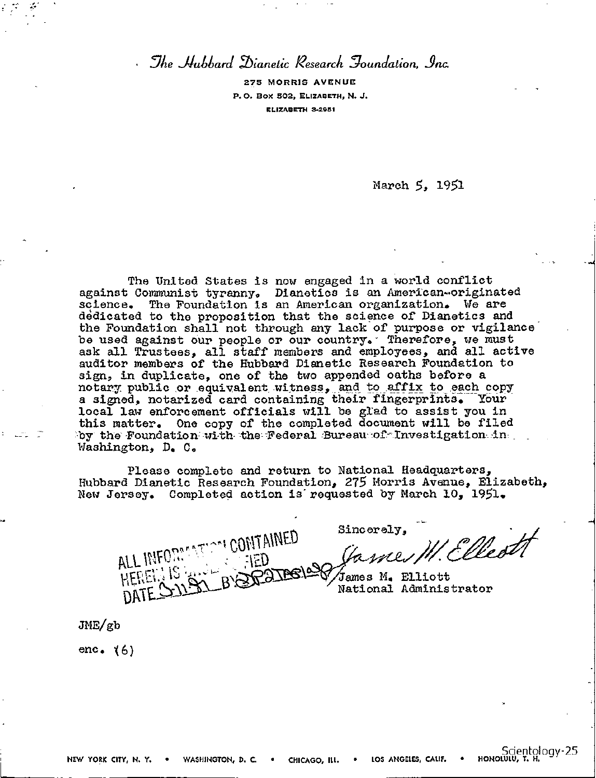*.Yee -llahhard Thianetic Research 2oandation, inc* 

**275 MORRIS AVENUE P.O. Box 502, ELIZABETH, N. J. ELIZABETH 2,2951** 

March 5, 1951

The United States is now engaged in a world conflict against Communist tyranny. Dianetics is an American-originated science. The Foundation is an American organization. We are dedicated to the proposition that the science of Dianetics and the Foundation shall not through any lack of purpose or vigilance be used against our people or our country. Therefore, we must ask all Trustees, all staff members and employees, and all active auditor members of the Hubbard Dianetic Research Foundation to sign, in duplicate, one of the two appended oaths before a notary public or equivalent witness, and to affix to each copy a signed, notarized card containing their fingerprints. Your local law enforcement officials will be glad to assist you in this matter. One copy of the completed document will be filed by the Foundation-with the Federal Bureau of Investigation in Washington, D. C.

Please complete and return to National Headquarters, Hubbard Dianetic Research Foundation, 275 Morris Avenue, Elizabeth, New Jersey. Completed action is"requested by March 10, 1951.

ALL INFORMATION CONTAINED VIEUX.  $\frac{1}{2}$ 

Sincerely, W. Ellectt

James M. Elliott National Administrator

 $JME/gb$ 

enc.  $(6)$ 

Scientology-25<br>Sonoww, T. H.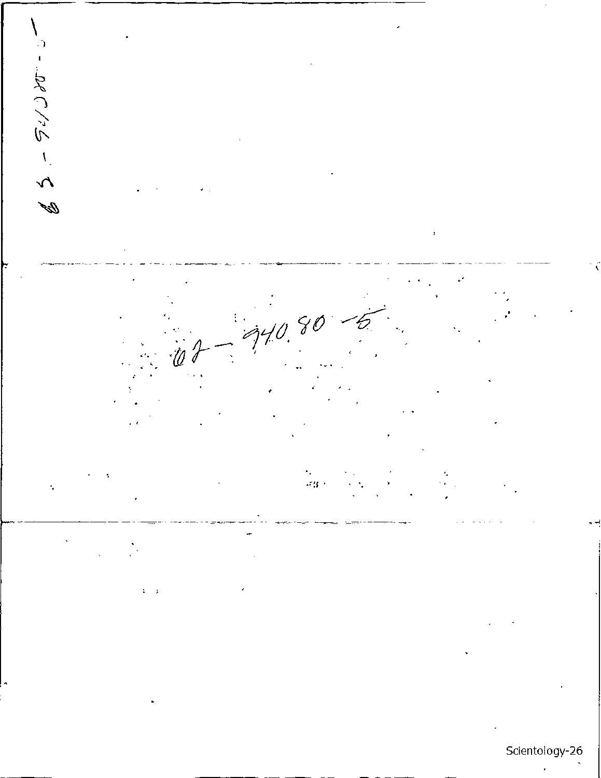やくしょうこう  $\overline{\phantom{a}}$ ŠС  $340.$  $\mathcal{L}^{\text{reg}}(t)$ l. ï  $\mathbf{1}=\mathbf{2}$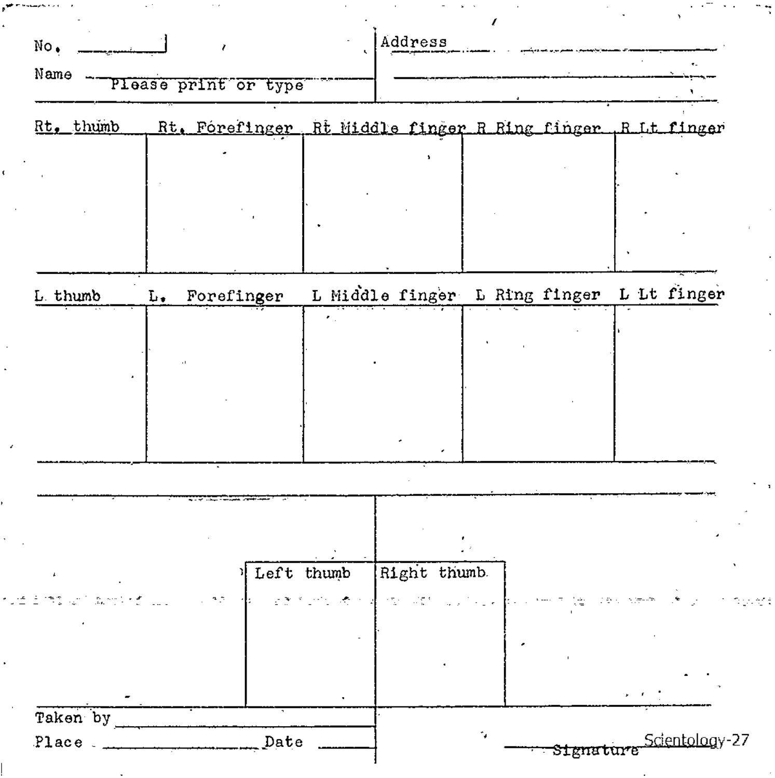| No.            |                      |            | Address                                                     |    |           |                |
|----------------|----------------------|------------|-------------------------------------------------------------|----|-----------|----------------|
| Name           | Please print or type |            |                                                             |    |           |                |
| Rt. thumb      |                      |            | Rt. Forefinger, Rt Middle finger R Ring finger, R Lt finger |    |           |                |
|                |                      |            |                                                             |    |           |                |
|                |                      |            |                                                             |    |           |                |
| L. thumb       | Forefinger<br>L.     |            | L Middle finger L Ring finger                               |    |           | L Lt finger    |
|                |                      |            |                                                             |    |           |                |
|                |                      |            |                                                             |    |           |                |
|                |                      |            |                                                             |    |           |                |
|                |                      |            |                                                             |    |           |                |
|                |                      |            |                                                             |    |           |                |
|                |                      |            |                                                             |    |           |                |
|                |                      | Left thumb | Right thumb.                                                |    |           |                |
|                |                      |            |                                                             |    |           |                |
|                |                      |            |                                                             |    |           |                |
|                |                      |            |                                                             |    |           |                |
| Taken by       |                      |            |                                                             |    |           |                |
| Place ________ |                      | Date       |                                                             | ٠, | Signature | Scientology-27 |